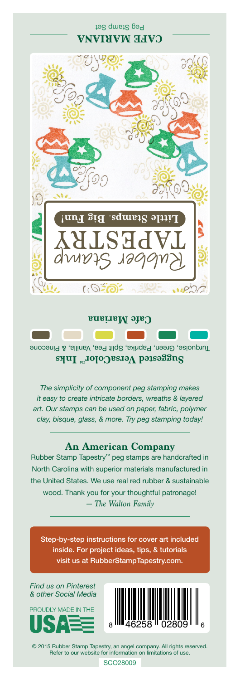## Peg Stamp Set **CAFE MARIANA**



Turquoise, Green, Paprika, Split Pea, Vanilla, & Pinecone **Suggested VersaColor** Inks

**Cafe Mariana**

*The simplicity of component peg stamping makes it easy to create intricate borders, wreaths & layered art. Our stamps can be used on paper, fabric, polymer clay, bisque, glass, & more. Try peg stamping today!*

## **An American Company**

*— The Walton Family* Rubber Stamp Tapestry™ peg stamps are handcrafted in North Carolina with superior materials manufactured in the United States. We use real red rubber & sustainable wood. Thank you for your thoughtful patronage!

Step-by-step instructions for cover art included inside. For project ideas, tips, & tutorials visit us at RubberStampTapestry.com.

*Find us on Pinterest & other Social Media*





© 2015 Rubber Stamp Tapestry, an angel company. All rights reserved. Refer to our website for information on limitations of use.